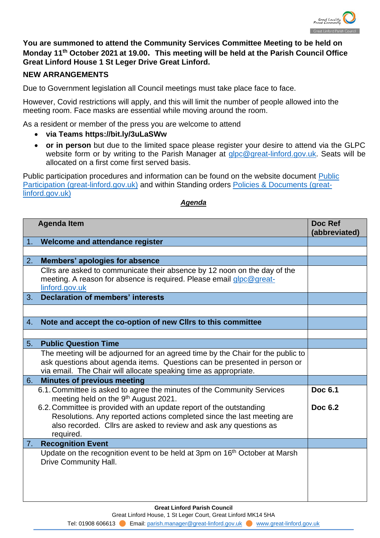

## **You are summoned to attend the Community Services Committee Meeting to be held on Monday 11th October 2021 at 19.00. This meeting will be held at the Parish Council Office Great Linford House 1 St Leger Drive Great Linford.**

## **NEW ARRANGEMENTS**

Due to Government legislation all Council meetings must take place face to face.

However, Covid restrictions will apply, and this will limit the number of people allowed into the meeting room. Face masks are essential while moving around the room.

As a resident or member of the press you are welcome to attend

- **via Teams https://bit.ly/3uLaSWw**
- **or in person** but due to the limited space please register your desire to attend via the GLPC website form or by writing to the Parish Manager at [glpc@great-linford.gov.uk.](mailto:glpc@great-linford.gov.uk) Seats will be allocated on a first come first served basis.

Public participation procedures and information can be found on the website document [Public](https://www.great-linford.gov.uk/council-meetings/public-participation/)  [Participation \(great-linford.gov.uk\)](https://www.great-linford.gov.uk/council-meetings/public-participation/) and within Standing orders [Policies & Documents \(great](https://www.great-linford.gov.uk/the-parish-council/policies-documents/)[linford.gov.uk\)](https://www.great-linford.gov.uk/the-parish-council/policies-documents/)

## *Agenda*

|                | <b>Agenda Item</b>                                                                                                                                                                                                                                                                                                                                            | <b>Doc Ref</b><br>(abbreviated) |
|----------------|---------------------------------------------------------------------------------------------------------------------------------------------------------------------------------------------------------------------------------------------------------------------------------------------------------------------------------------------------------------|---------------------------------|
| 1 <sub>1</sub> | Welcome and attendance register                                                                                                                                                                                                                                                                                                                               |                                 |
|                |                                                                                                                                                                                                                                                                                                                                                               |                                 |
| 2.             | <b>Members' apologies for absence</b>                                                                                                                                                                                                                                                                                                                         |                                 |
|                | Clirs are asked to communicate their absence by 12 noon on the day of the<br>meeting. A reason for absence is required. Please email glpc@great-<br>linford.gov.uk                                                                                                                                                                                            |                                 |
| 3.             | <b>Declaration of members' interests</b>                                                                                                                                                                                                                                                                                                                      |                                 |
|                |                                                                                                                                                                                                                                                                                                                                                               |                                 |
| 4.             | Note and accept the co-option of new Cllrs to this committee                                                                                                                                                                                                                                                                                                  |                                 |
|                |                                                                                                                                                                                                                                                                                                                                                               |                                 |
| 5.             | <b>Public Question Time</b>                                                                                                                                                                                                                                                                                                                                   |                                 |
|                | The meeting will be adjourned for an agreed time by the Chair for the public to<br>ask questions about agenda items. Questions can be presented in person or<br>via email. The Chair will allocate speaking time as appropriate.                                                                                                                              |                                 |
| 6.             | <b>Minutes of previous meeting</b>                                                                                                                                                                                                                                                                                                                            |                                 |
|                | 6.1. Committee is asked to agree the minutes of the Community Services<br>meeting held on the 9 <sup>th</sup> August 2021.<br>6.2. Committee is provided with an update report of the outstanding<br>Resolutions. Any reported actions completed since the last meeting are<br>also recorded. Cllrs are asked to review and ask any questions as<br>required. | Doc 6.1<br>Doc 6.2              |
| 7.             | <b>Recognition Event</b>                                                                                                                                                                                                                                                                                                                                      |                                 |
|                | Update on the recognition event to be held at 3pm on 16 <sup>th</sup> October at Marsh<br><b>Drive Community Hall.</b>                                                                                                                                                                                                                                        |                                 |